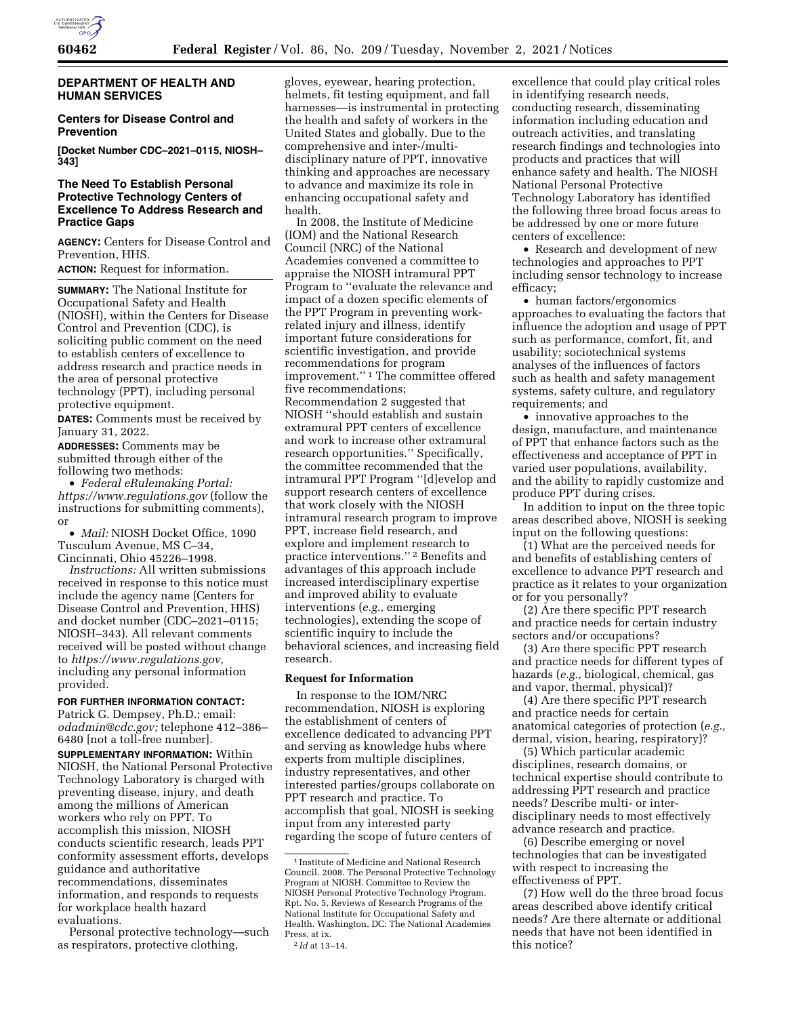

## **DEPARTMENT OF HEALTH AND HUMAN SERVICES**

## **Centers for Disease Control and Prevention**

**[Docket Number CDC–2021–0115, NIOSH– 343]** 

# **The Need To Establish Personal Protective Technology Centers of Excellence To Address Research and Practice Gaps**

**AGENCY:** Centers for Disease Control and Prevention, HHS.

**ACTION:** Request for information.

**SUMMARY:** The National Institute for Occupational Safety and Health (NIOSH), within the Centers for Disease Control and Prevention (CDC), is soliciting public comment on the need to establish centers of excellence to address research and practice needs in the area of personal protective technology (PPT), including personal protective equipment.

**DATES:** Comments must be received by January 31, 2022.

**ADDRESSES:** Comments may be submitted through either of the following two methods:

• *Federal eRulemaking Portal: <https://www.regulations.gov>* (follow the instructions for submitting comments), or

• *Mail:* NIOSH Docket Office, 1090 Tusculum Avenue, MS C–34, Cincinnati, Ohio 45226–1998.

*Instructions:* All written submissions received in response to this notice must include the agency name (Centers for Disease Control and Prevention, HHS) and docket number (CDC–2021–0115; NIOSH–343). All relevant comments received will be posted without change to *[https://www.regulations.gov,](https://www.regulations.gov)*  including any personal information provided.

# **FOR FURTHER INFORMATION CONTACT:**

Patrick G. Dempsey, Ph.D.; email: *[odadmin@cdc.gov;](mailto:odadmin@cdc.gov)* telephone 412–386– 6480 [not a toll-free number].

**SUPPLEMENTARY INFORMATION:** Within NIOSH, the National Personal Protective Technology Laboratory is charged with preventing disease, injury, and death among the millions of American workers who rely on PPT. To accomplish this mission, NIOSH conducts scientific research, leads PPT conformity assessment efforts, develops guidance and authoritative recommendations, disseminates information, and responds to requests for workplace health hazard evaluations.

Personal protective technology—such as respirators, protective clothing,

gloves, eyewear, hearing protection, helmets, fit testing equipment, and fall harnesses—is instrumental in protecting the health and safety of workers in the United States and globally. Due to the comprehensive and inter-/multidisciplinary nature of PPT, innovative thinking and approaches are necessary to advance and maximize its role in enhancing occupational safety and health.

In 2008, the Institute of Medicine (IOM) and the National Research Council (NRC) of the National Academies convened a committee to appraise the NIOSH intramural PPT Program to ''evaluate the relevance and impact of a dozen specific elements of the PPT Program in preventing workrelated injury and illness, identify important future considerations for scientific investigation, and provide recommendations for program improvement.'' 1 The committee offered five recommendations; Recommendation 2 suggested that NIOSH ''should establish and sustain extramural PPT centers of excellence and work to increase other extramural research opportunities.'' Specifically, the committee recommended that the intramural PPT Program ''[d]evelop and support research centers of excellence that work closely with the NIOSH intramural research program to improve PPT, increase field research, and explore and implement research to practice interventions.'' 2 Benefits and advantages of this approach include increased interdisciplinary expertise and improved ability to evaluate interventions (*e.g.,* emerging technologies), extending the scope of scientific inquiry to include the behavioral sciences, and increasing field research.

### **Request for Information**

In response to the IOM/NRC recommendation, NIOSH is exploring the establishment of centers of excellence dedicated to advancing PPT and serving as knowledge hubs where experts from multiple disciplines, industry representatives, and other interested parties/groups collaborate on PPT research and practice. To accomplish that goal, NIOSH is seeking input from any interested party regarding the scope of future centers of

excellence that could play critical roles in identifying research needs, conducting research, disseminating information including education and outreach activities, and translating research findings and technologies into products and practices that will enhance safety and health. The NIOSH National Personal Protective Technology Laboratory has identified the following three broad focus areas to be addressed by one or more future centers of excellence:

• Research and development of new technologies and approaches to PPT including sensor technology to increase efficacy;

• human factors/ergonomics approaches to evaluating the factors that influence the adoption and usage of PPT such as performance, comfort, fit, and usability; sociotechnical systems analyses of the influences of factors such as health and safety management systems, safety culture, and regulatory requirements; and

• innovative approaches to the design, manufacture, and maintenance of PPT that enhance factors such as the effectiveness and acceptance of PPT in varied user populations, availability, and the ability to rapidly customize and produce PPT during crises.

In addition to input on the three topic areas described above, NIOSH is seeking input on the following questions:

(1) What are the perceived needs for and benefits of establishing centers of excellence to advance PPT research and practice as it relates to your organization or for you personally?

(2) Are there specific PPT research and practice needs for certain industry sectors and/or occupations?

(3) Are there specific PPT research and practice needs for different types of hazards (*e.g.,* biological, chemical, gas and vapor, thermal, physical)?

(4) Are there specific PPT research and practice needs for certain anatomical categories of protection (*e.g.,*  dermal, vision, hearing, respiratory)?

(5) Which particular academic disciplines, research domains, or technical expertise should contribute to addressing PPT research and practice needs? Describe multi- or interdisciplinary needs to most effectively advance research and practice.

(6) Describe emerging or novel technologies that can be investigated with respect to increasing the effectiveness of PPT.

(7) How well do the three broad focus areas described above identify critical needs? Are there alternate or additional needs that have not been identified in this notice?

<sup>1</sup> Institute of Medicine and National Research Council. 2008. The Personal Protective Technology Program at NIOSH. Committee to Review the NIOSH Personal Protective Technology Program. Rpt. No. 5, Reviews of Research Programs of the National Institute for Occupational Safety and Health. Washington, DC: The National Academies Press, at ix.

<sup>2</sup> *Id* at 13–14.